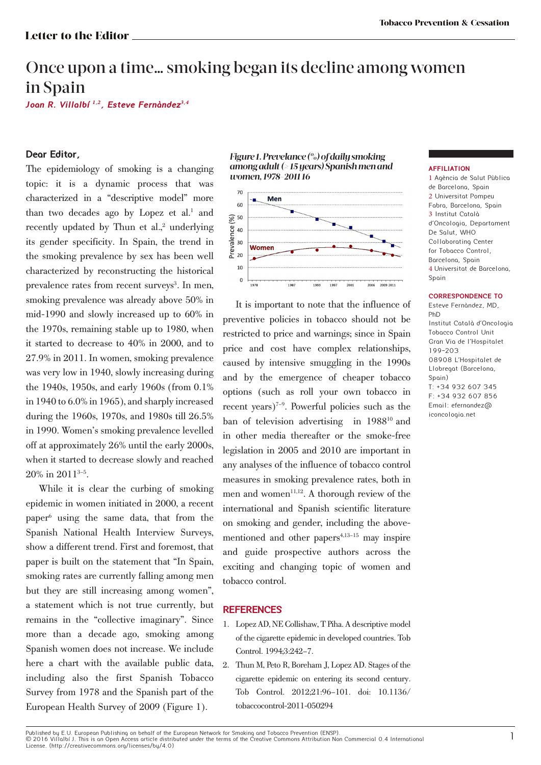# Once upon a time… smoking began its decline among women in Spain

**Joan R. Villalbί**  *1***,***2* **, Esteve Fernàndez** *3***,***4*

# **Dear Editor,**

The epidemiology of smoking is a changing topic: it is a dynamic process that was characterized in a "descriptive model" more than two decades ago by Lopez et al.<sup>1</sup> and recently updated by Thun et al.,<sup>2</sup> underlying its gender specificity. In Spain, the trend in the smoking prevalence by sex has been well characterized by reconstructing the historical prevalence rates from recent surveys<sup>3</sup>. In men, smoking prevalence was already above 50% in mid-1990 and slowly increased up to 60% in the 1970s, remaining stable up to 1980, when it started to decrease to 40% in 2000, and to 27.9% in 2011. In women, smoking prevalence was very low in 1940, slowly increasing during the 1940s, 1950s, and early 1960s (from 0.1% in 1940 to 6.0% in 1965), and sharply increased during the 1960s, 1970s, and 1980s till 26.5% in 1990. Women's smoking prevalence levelled off at approximately 26% until the early 2000s, when it started to decrease slowly and reached 20% in 20113–5.

While it is clear the curbing of smoking epidemic in women initiated in 2000, a recent paper6 using the same data, that from the Spanish National Health Interview Surveys, show a different trend. First and foremost, that paper is built on the statement that "In Spain, smoking rates are currently falling among men but they are still increasing among women", a statement which is not true currently, but remains in the "collective imaginary". Since more than a decade ago, smoking among Spanish women does not increase. We include here a chart with the available public data, including also the first Spanish Tobacco Survey from 1978 and the Spanish part of the European Health Survey of 2009 (Figure 1).





It is important to note that the influence of preventive policies in tobacco should not be restricted to price and warnings; since in Spain price and cost have complex relationships, caused by intensive smuggling in the 1990s and by the emergence of cheaper tobacco options (such as roll your own tobacco in recent years)<sup> $7-9$ </sup>. Powerful policies such as the ban of television advertising in 1988<sup>10</sup> and in other media thereafter or the smoke-free legislation in 2005 and 2010 are important in any analyses of the influence of tobacco control measures in smoking prevalence rates, both in men and women $11,12$ . A thorough review of the international and Spanish scientific literature on smoking and gender, including the abovementioned and other papers $4,13-15$  may inspire and guide prospective authors across the exciting and changing topic of women and tobacco control.

### **REFERENCES**

- 1. Lopez AD, NE Collishaw, T Piha. A descriptive model of the cigarette epidemic in developed countries. Tob Control. 1994;3:242–7.
- 2. Thun M, Peto R, Boreham J, Lopez AD. Stages of the cigarette epidemic on entering its second century. Tob Control. 2012;21:96–101. doi: 10.1136/ tobaccocontrol-2011-050294

#### **AFFILIATION**

1 Agència de Salut Pùblica de Barcelona, Spain 2 Universitat Pompeu Fabra, Barcelona, Spain 3 Institut Català d'Oncologia, Departament De Salut, WHO Collaborating Center for Tobacco Control, Barcelona, Spain 4 Universitat de Barcelona, Spain

#### **CORRESPONDENCE TO**

Esteve Fernàndez, MD, PhD Institut Català d'Oncologia Tobacco Control Unit Gran Via de l'Hospitalet 199-203 08908 L'Hospitalet de Llobregat (Barcelona, Spoin) T: +34 932 607 345 F: +34 932 607 856 Email: efernandez@ iconcologia.net

Published by E.U. European Publishing on behalf of the European Network for Smoking and Tobacco Prevention (ENSP).<br>© 2016 Villalbí J. This is an Open Access article distributed under the terms of the Creative Commons Attri License. (http://creativecommons.org/licenses/by/4.0)